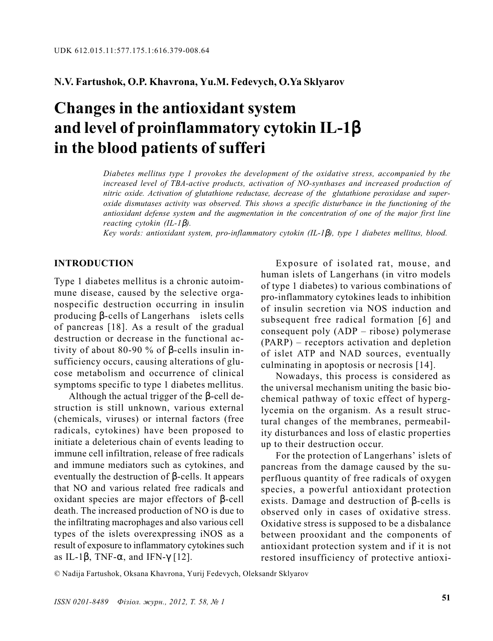## N.V. Fartushok, O.P. Khavrona, Yu.M. Fedevych, O.Ya Sklyarov

# Changes in the antioxidant system and level of proinflammatory cytokin IL-1β in the blood patients of sufferi

Diabetes mellitus type 1 provokes the development of the oxidative stress, accompanied by the increased level of TBA-active products, activation of NO-synthases and increased production of nitric oxide. Activation of glutathione reductase, decrease of the glutathione peroxidase and superoxide dismutases activity was observed. This shows a specific disturbance in the functioning of the antioxidant defense system and the augmentation in the concentration of one of the major first line reacting cytokin  $(IL-I\beta)$ .

Key words: antioxidant system, pro-inflammatory cytokin (IL-1β), type 1 diabetes mellitus, blood.

#### INTRODUCTION

Type 1 diabetes mellitus is a chronic autoimmune disease, caused by the selective organospecific destruction occurring in insulin producing β-cells of Langerhans islets cells of pancreas [18]. As a result of the gradual destruction or decrease in the functional activity of about 80-90 % of β-cells insulin insufficiency occurs, causing alterations of glucose metabolism and occurrence of clinical symptoms specific to type 1 diabetes mellitus.

Although the actual trigger of the β-cell destruction is still unknown, various external (chemicals, viruses) or internal factors (free radicals, cytokines) have been proposed to initiate a deleterious chain of events leading to immune cell infiltration, release of free radicals and immune mediators such as cytokines, and eventually the destruction of  $\beta$ -cells. It appears that NO and various related free radicals and oxidant species are major effectors of β-cell death. The increased production of NO is due to the infiltrating macrophages and also various cell types of the islets overexpressing iNOS as a result of exposure to inflammatory cytokines such as IL-1β, TNF- $\alpha$ , and IFN- $\gamma$  [12].

Exposure of isolated rat, mouse, and human islets of Langerhans (in vitro models of type 1 diabetes) to various combinations of pro-inflammatory cytokines leads to inhibition of insulin secretion via NOS induction and subsequent free radical formation [6] and consequent poly  $(ADP - ribose)$  polymerase  $(PARP)$  – receptors activation and depletion of islet ATP and NAD sources, eventually culminating in apoptosis or necrosis [14].

Nowadays, this process is considered as the universal mechanism uniting the basic biochemical pathway of toxic effect of hyperglycemia on the organism. As a result structural changes of the membranes, permeability disturbances and loss of elastic properties up to their destruction occur.

For the protection of Langerhans' islets of pancreas from the damage caused by the superfluous quantity of free radicals of oxygen species, a powerful antioxidant protection exists. Damage and destruction of β-cells is observed only in cases of oxidative stress. Oxidative stress is supposed to be a disbalance between prooxidant and the components of antioxidant protection system and if it is not restored insufficiency of protective antioxi-

© Nadija Fartushok, Oksana Khavrona, Yurij Fedevych, Oleksandr Sklyarov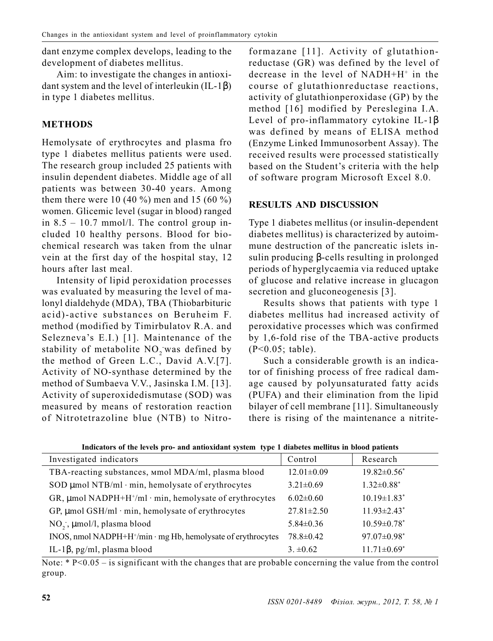dant enzyme complex develops, leading to the development of diabetes mellitus.

Aim: to investigate the changes in antioxidant system and the level of interleukin (IL-1β) in type 1 diabetes mellitus.

# METHODS

Hemolysate of erythrocytes and plasma fro type 1 diabetes mellitus patients were used. The research group included 25 patients with insulin dependent diabetes. Middle age of all patients was between 30-40 years. Among them there were 10 (40 %) men and 15 (60 %) women. Glicemic level (sugar in blood) ranged in  $8.5 - 10.7$  mmol/l. The control group included 10 healthy persons. Blood for biochemical research was taken from the ulnar vein at the first day of the hospital stay, 12 hours after last meal.

Intensity of lipid peroxidation processes was evaluated by measuring the level of malonyl dialdehyde (MDA), TBA (Thiobarbituric acid)-active substances on Beruheim F. method (modified by Timirbulatov R.A. and Selezneva's E.I.) [1]. Maintenance of the stability of metabolite  $\rm NO_2$  was defined by the method of Green L.C., David A.V.[7]. Activity of NO-synthase determined by the method of Sumbaeva V.V., Jasinska I.M. [13]. Activity of superoxidedismutase (SOD) was measured by means of restoration reaction of Nitrotetrazoline blue (NTB) to Nitroformazane [11]. Activity of glutathionreductase (GR) was defined by the level of decrease in the level of NADH+H+ in the course of glutathionreductase reactions, activity of glutathionperoxidase (GP) by the method [16] modified by Pereslegina I.A. Level of pro-inflammatory cytokine IL-1β was defined by means of ELISA method (Enzyme Linked Immunosorbent Assay). The received results were processed statistically based on the Student's criteria with the help of software program Microsoft Excel 8.0.

#### RESULTS AND DISCUSSION

Type 1 diabetes mellitus (or insulin-dependent diabetes mellitus) is characterized by autoimmune destruction of the pancreatic islets insulin producing β-cells resulting in prolonged periods of hyperglycaemia via reduced uptake of glucose and relative increase in glucagon secretion and gluconeogenesis [3].

Results shows that patients with type 1 diabetes mellitus had increased activity of peroxidative processes which was confirmed by 1,6-fold rise of the TBA-active products (Ð<0.05; table).

Such a considerable growth is an indicator of finishing process of free radical damage caused by polyunsaturated fatty acids (PUFA) and their elimination from the lipid bilayer of cell membrane [11]. Simultaneously there is rising of the maintenance a nitrite-

| Investigated indicators                                                  | Control          | Research                      |
|--------------------------------------------------------------------------|------------------|-------------------------------|
| TBA-reacting substances, mmol MDA/ml, plasma blood                       | $12.01 \pm 0.09$ | $19.82 \pm 0.56^*$            |
| SOD µmol NTB/ml · min, hemolysate of erythrocytes                        | $3.21 \pm 0.69$  | $1.32 \pm 0.88$ <sup>*</sup>  |
| GR, $\mu$ mol NADPH+H <sup>+</sup> /ml · min, hemolysate of erythrocytes | $6.02\pm0.60$    | $10.19 \pm 1.83$ <sup>*</sup> |
| GP, $\mu$ mol GSH/ml·min, hemolysate of erythrocytes                     | $27.81 \pm 2.50$ | $11.93 \pm 2.43$ <sup>*</sup> |
| NO <sub>2</sub> , µmol/l, plasma blood                                   | $5.84 \pm 0.36$  | $10.59 \pm 0.78$ *            |
| INOS, nmol NADPH+H <sup>+</sup> /min · mg Hb, hemolysate of erythrocytes | $78.8 \pm 0.42$  | 97.07±0.98*                   |
| IL-1 $\beta$ , pg/ml, plasma blood                                       | $3. \pm 0.62$    | $11.71 \pm 0.69^*$            |

Indicators of the levels pro- and antioxidant system type 1 diabetes mellitus in blood patients

Note:  $* P<0.05 - is significant with the changes that are probable concerning the value from the control$ group.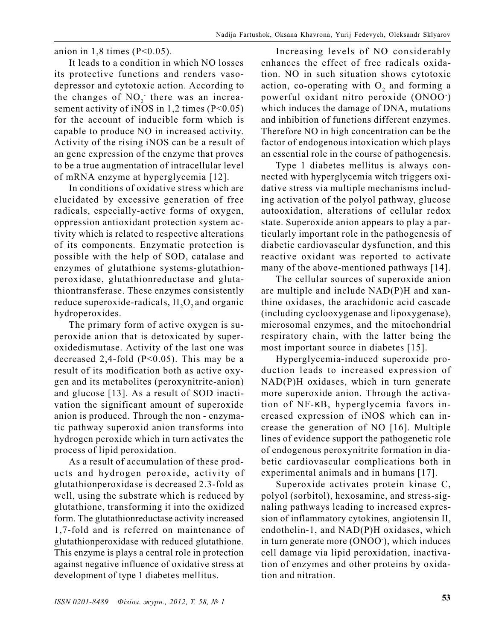anion in  $1,8$  times (P<0.05).

It leads to a condition in which NO losses its protective functions and renders vasodepressor and cytotoxic action. According to the changes of  $NO<sub>2</sub>$  there was an increasement activity of iNOS in 1,2 times (P<0.05) for the account of inducible form which is capable to produce NO in increased activity. Activity of the rising iNOS can be a result of an gene expression of the enzyme that proves to be a true augmentation of intracellular level of mRNA enzyme at hyperglycemia [12].

In conditions of oxidative stress which are elucidated by excessive generation of free radicals, especially-active forms of oxygen, oppression antioxidant protection system activity which is related to respective alterations of its components. Enzymatic protection is possible with the help of SOD, catalase and enzymes of glutathione systems-glutathionperoxidase, glutathionreductase and glutathiontransferase. These enzymes consistently reduce superoxide-radicals,  $\rm H_2O_2$  and organic hydroperoxides.

The primary form of active oxygen is superoxide anion that is detoxicated by superoxidedismutase. Activity of the last one was decreased 2,4-fold  $(P<0.05)$ . This may be a result of its modification both as active oxygen and its metabolites (peroxynitrite-anion) and glucose [13]. As a result of SOD inactivation the significant amount of superoxide anion is produced. Through the non - enzymatic pathway superoxid anion transforms into hydrogen peroxide which in turn activates the process of lipid peroxidation.

As a result of accumulation of these products and hydrogen peroxide, activity of glutathionperoxidase is decreased 2.3-fold as well, using the substrate which is reduced by glutathione, transforming it into the oxidized form. The glutathionreductase activity increased 1,7-fold and is referred on maintenance of glutathionperoxidase with reduced glutathione. This enzyme is plays a central role in protection against negative influence of oxidative stress at development of type 1 diabetes mellitus.

Increasing levels of NO considerably enhances the effect of free radicals oxidation. NO in such situation shows cytotoxic action, co-operating with  $O_2$  and forming a powerful oxidant nitro peroxide (ONOO- ) which induces the damage of DNA, mutations and inhibition of functions different enzymes. Therefore NO in high concentration can be the factor of endogenous intoxication which plays an essential role in the course of pathogenesis.

Type 1 diabetes mellitus is always connected with hyperglycemia witch triggers oxidative stress via multiple mechanisms including activation of the polyol pathway, glucose autooxidation, alterations of cellular redox state. Superoxide anion appears to play a particularly important role in the pathogenesis of diabetic cardiovascular dysfunction, and this reactive oxidant was reported to activate many of the above-mentioned pathways [14].

The cellular sources of superoxide anion are multiple and include NAD(P)H and xanthine oxidases, the arachidonic acid cascade (including cyclooxygenase and lipoxygenase), microsomal enzymes, and the mitochondrial respiratory chain, with the latter being the most important source in diabetes [15].

Hyperglycemia-induced superoxide production leads to increased expression of NAD(P)H oxidases, which in turn generate more superoxide anion. Through the activation of NF-κB, hyperglycemia favors increased expression of iNOS which can increase the generation of NO [16]. Multiple lines of evidence support the pathogenetic role of endogenous peroxynitrite formation in diabetic cardiovascular complications both in experimental animals and in humans [17].

Superoxide activates protein kinase C, polyol (sorbitol), hexosamine, and stress-signaling pathways leading to increased expression of inflammatory cytokines, angiotensin II, endothelin-1, and NAD(P)H oxidases, which in turn generate more (ONOO- ), which induces cell damage via lipid peroxidation, inactivation of enzymes and other proteins by oxidation and nitration.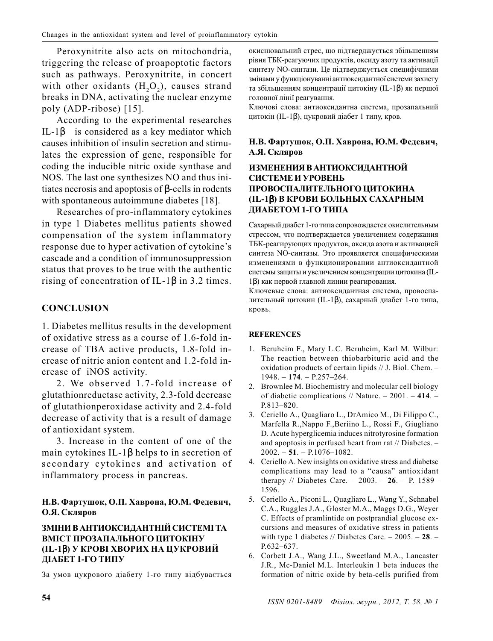Peroxynitrite also acts on mitochondria, triggering the release of proapoptotic factors such as pathways. Peroxynitrite, in concert with other oxidants  $(H, O<sub>2</sub>)$ , causes strand breaks in DNA, activating the nuclear enzyme poly (ADP-ribose)  $[15]$ .

According to the experimental researches IL-1 $\beta$  is considered as a key mediator which causes inhibition of insulin secretion and stimulates the expression of gene, responsible for coding the inducible nitric oxide synthase and NOS. The last one synthesizes NO and thus initiates necrosis and apoptosis of  $\beta$ -cells in rodents with spontaneous autoimmune diabetes [18].

Researches of pro-inflammatory cytokines in type 1 Diabetes mellitus patients showed compensation of the system inflammatory response due to hyper activation of cytokine's cascade and a condition of immunosuppression status that proves to be true with the authentic rising of concentration of IL-1 $\beta$  in 3.2 times.

# **CONCLUSION**

1. Diabetes mellitus results in the development of oxidative stress as a course of 1.6-fold increase of TBA active products, 1.8-fold increase of nitric anion content and 1.2-fold increase of iNOS activity.

2. We observed 1.7-fold increase of glutathion reductase activity, 2.3-fold decrease of glutathion peroxidase activity and 2.4-fold decrease of activity that is a result of damage of antioxidant system.

3. Increase in the content of one of the main cytokines IL-1 $\beta$  helps to in secretion of secondary cytokines and activation of inflammatory process in pancreas.

#### Н.В. Фартушок, О.П. Хаврона, Ю.М. Федевич, О.Я. Скляров

#### ЗМІНИ В АНТИОКСИЛАНТНІЙ СИСТЕМІ ТА ВМІСТ ПРОЗАПАЛЬНОГО ШИТОКІНУ (IL-16) У КРОВІ ХВОРИХ НА ЦУКРОВИЙ ДІАБЕТ 1-ГО ТИПУ

За умов цукрового діабету 1-го типу відбувається

окиснювальний стрес, що підтверджується збільшенням рівня ТБК-реагуючих продуктів, оксиду азоту та активації синтезу NO-синтази. Це підтверджується специфічними змінами у функціонуванні антиоксидантної системи захисту та збільшенням концентрації цитокіну (IL-1 $\beta$ ) як першої головної лінії реагування.

Ключові слова: антиоксидантна система, прозапальний цитокін (IL-1<sup>β</sup>), цукровий діабет 1 типу, кров.

### Н.В. Фартушок, О.П. Хаврона, Ю.М. Федевич, А.Я. Скляров

#### ИЗМЕНЕНИЯ В АНТИОКСИЛАНТНОЙ СИСТЕМЕ И УРОВЕНЬ ПРОВОСПАЛИТЕЛЬНОГО ЦИТОКИНА (IL-1β) В КРОВИ БОЛЬНЫХ САХАРНЫМ ДИАБЕТОМ 1-ГО ТИПА

Сахарный диабет 1-го типа сопровождается окислительным стрессом, что подтверждается увеличением содержания ТБК-реагирующих продуктов, оксида азота и активацией синтеза NO-синтазы. Это проявляется специфическими изменениями в функционировании антиоксидантной системы защиты и увеличением концентрации цитокина (IL-1 $\beta$ ) как первой главной линии реагирования.

Ключевые слова: антиоксидантная система, провоспалительный цитокин (IL-1 $\beta$ ), сахарный диабет 1-го типа, кровь.

#### **REFERENCES**

- 1. Beruheim F., Mary L.C. Beruheim, Karl M. Wilbur: The reaction between thiobarbituric acid and the oxidation products of certain lipids // J. Biol. Chem. - $1948. - 174. - P.257 - 264.$
- 2. Brownlee M. Biochemistry and molecular cell biology of diabetic complications // Nature.  $-2001. -414. P.813 - 820.$
- 3. Ceriello A., Quagliaro L., DrAmico M., Di Filippo C., Marfella R., Nappo F., Beriino L., Rossi F., Giugliano D. Acute hyperglicemia induces nitrotyrosine formation and apoptosis in perfused heart from rat // Diabetes. - $2002. - 51. - P.1076 - 1082.$
- Ceriello A. New insights on oxidative stress and diabetsc  $4.$ complications may lead to a "causa" antioxidant therapy // Diabetes Care. - 2003. - 26. - P. 1589-1596.
- 5. Ceriello A., Piconi L., Quagliaro L., Wang Y., Schnabel C.A., Ruggles J.A., Gloster M.A., Maggs D.G., Weyer C. Effects of pramlintide on postprandial glucose excursions and measures of oxidative stress in patients with type 1 diabetes // Diabetes Care.  $-2005. - 28. P.632 - 637.$
- 6. Corbett J.A., Wang J.L., Sweetland M.A., Lancaster J.R., Mc-Daniel M.L. Interleukin 1 beta induces the formation of nitric oxide by beta-cells purified from